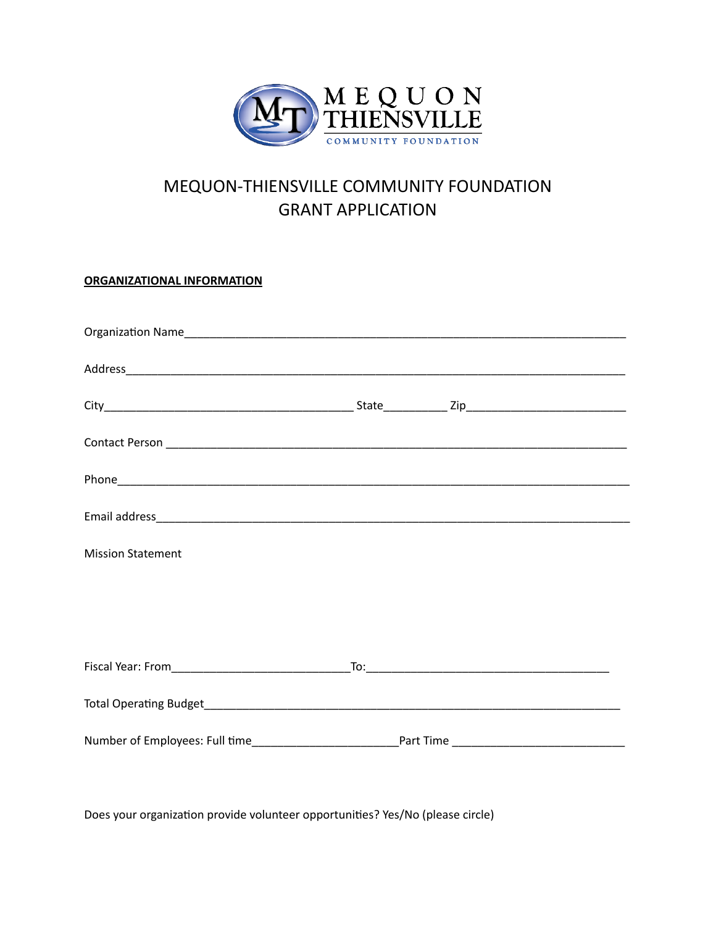

## MEQUON-THIENSVILLE COMMUNITY FOUNDATION GRANT APPLICATION

**ORGANIZATIONAL INFORMATION**

| <b>Mission Statement</b> |  |  |  |
|--------------------------|--|--|--|
|                          |  |  |  |
|                          |  |  |  |
|                          |  |  |  |
|                          |  |  |  |
|                          |  |  |  |
|                          |  |  |  |

Does your organization provide volunteer opportunities? Yes/No (please circle)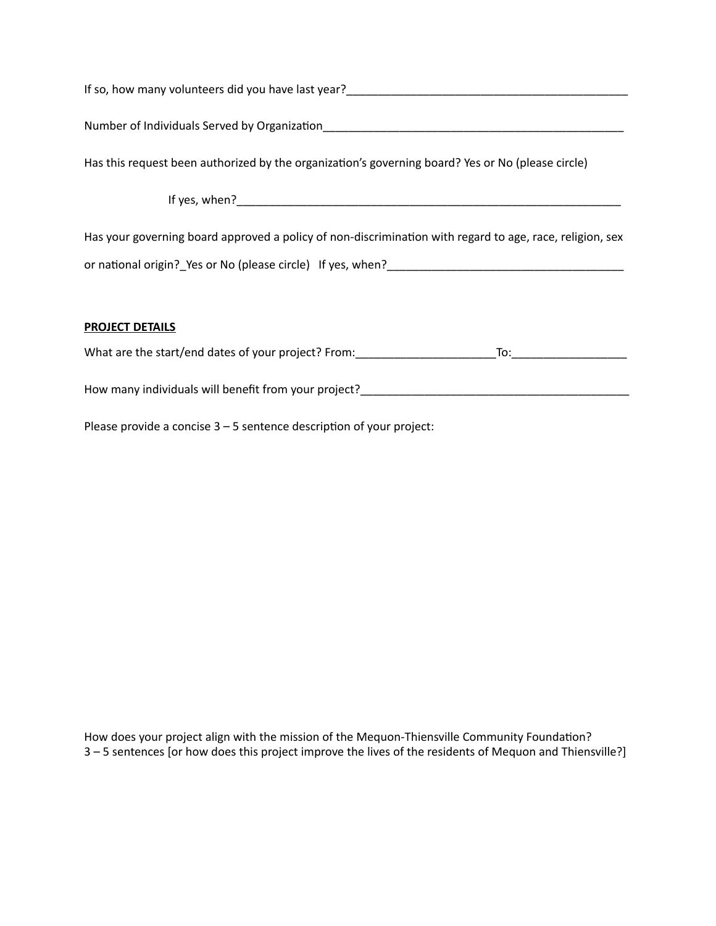| If so, how many volunteers did you have last year?                                                |
|---------------------------------------------------------------------------------------------------|
| Number of Individuals Served by Organization                                                      |
| Has this request been authorized by the organization's governing board? Yes or No (please circle) |
| If yes, when?                                                                                     |

Has your governing board approved a policy of non-discrimination with regard to age, race, religion, sex or national origin? Yes or No (please circle) If yes, when?

## **PROJECT DETAILS**

What are the start/end dates of your project? From:\_\_\_\_\_\_\_\_\_\_\_\_\_\_\_\_\_\_\_\_\_\_To:\_\_\_\_\_\_\_\_\_\_\_\_\_\_\_\_\_\_

How many individuals will benefit from your project?\_\_\_\_\_\_\_\_\_\_\_\_\_\_\_\_\_\_\_\_\_\_\_\_\_\_\_\_\_\_\_\_\_\_\_\_\_\_\_\_\_\_

Please provide a concise  $3 - 5$  sentence description of your project:

How does your project align with the mission of the Mequon-Thiensville Community Foundation? 3 – 5 sentences [or how does this project improve the lives of the residents of Mequon and Thiensville?]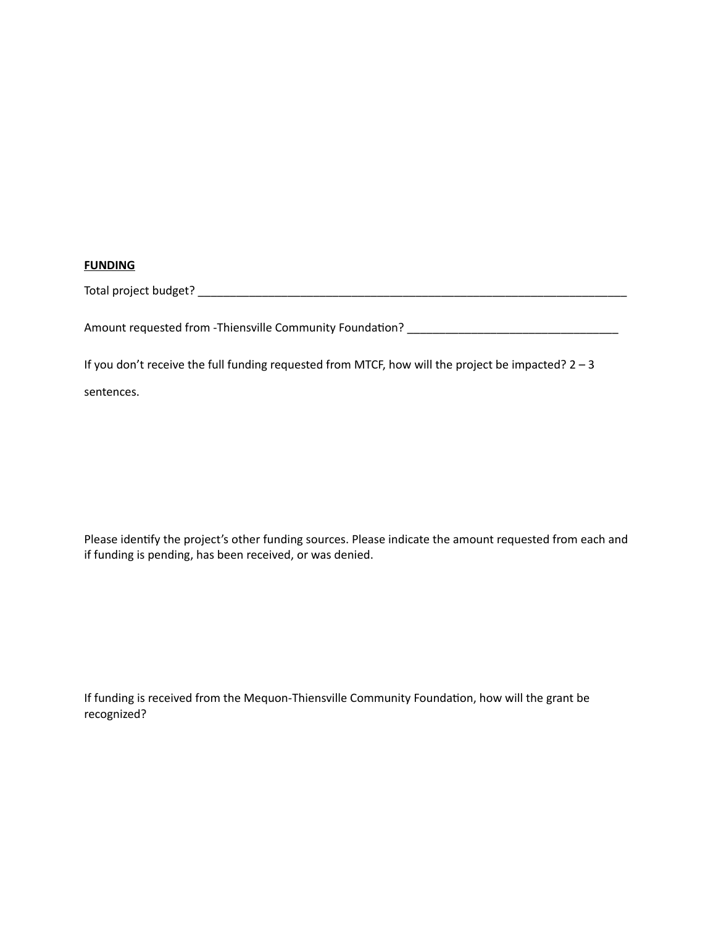## **FUNDING**

| Total project budget? |  |
|-----------------------|--|
|                       |  |

Amount requested from -Thiensville Community Foundation? \_\_\_\_\_\_\_\_\_\_\_\_\_\_\_\_\_\_\_\_\_\_\_\_\_\_\_\_\_\_\_\_\_

If you don't receive the full funding requested from MTCF, how will the project be impacted? 2 – 3

sentences.

Please identify the project's other funding sources. Please indicate the amount requested from each and if funding is pending, has been received, or was denied.

If funding is received from the Mequon-Thiensville Community Foundation, how will the grant be recognized?